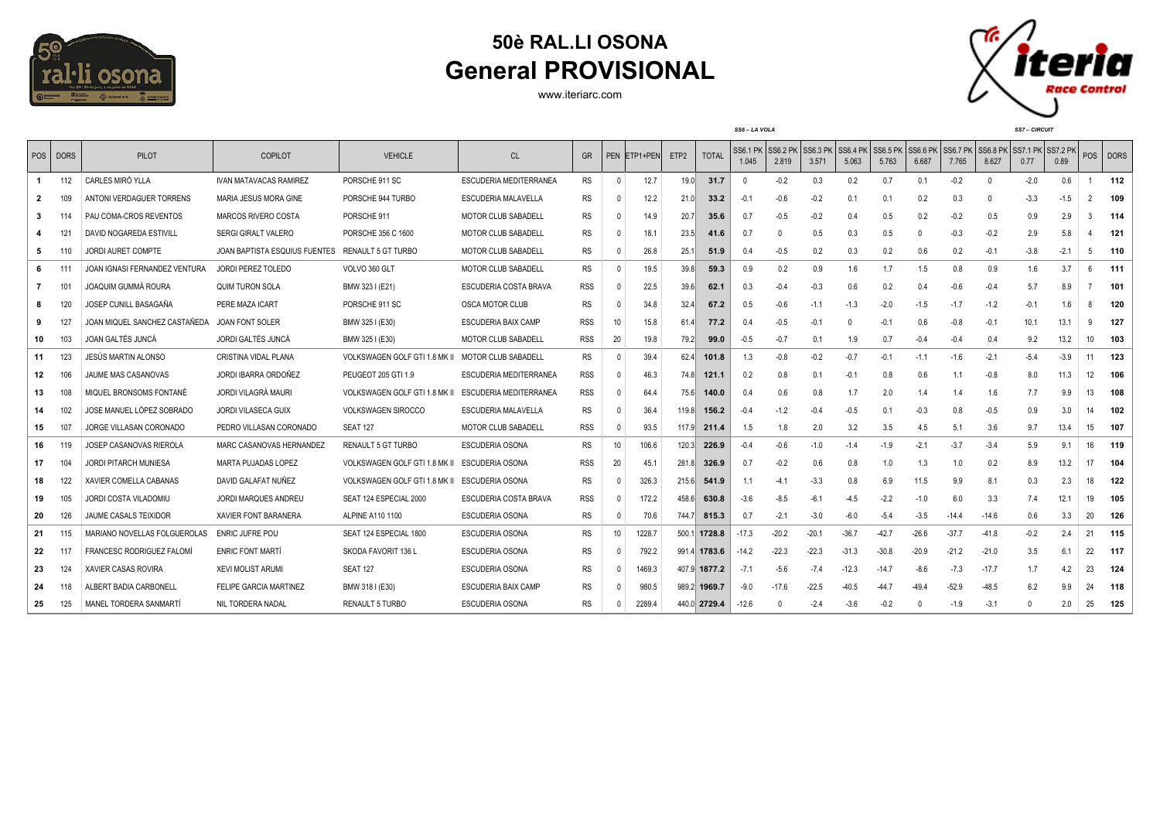

## **50è RAL.LI OSONA General PROVISIONAL**

www.iteriarc.com



| POS | <b>DORS</b>     | PILOT                         | <b>COPILOT</b>                | <b>VEHICLE</b>                | <b>CL</b>                     | GR         |    | PEN ETP1+PEN | ETP <sub>2</sub> | <b>TOTAL</b> | <b>SS6.1 PK</b><br>1.045 | <b>SS6.2 PK</b><br>2.819 | SS6.3 PK<br>3.571 | <b>SS6.4 PK</b><br>5.063 | <b>SS6.5 PK</b><br>5.763 | SS6.6 PK<br>6.687 | SS6.7 PK<br>7.765 | <b>SS6.8 PK</b><br>8.627 | SS7.1 PK SS7.2 PK<br>0.77 | 0.89   |                 | POS DORS |
|-----|-----------------|-------------------------------|-------------------------------|-------------------------------|-------------------------------|------------|----|--------------|------------------|--------------|--------------------------|--------------------------|-------------------|--------------------------|--------------------------|-------------------|-------------------|--------------------------|---------------------------|--------|-----------------|----------|
| 1   | 112             | CARLES MIRÓ YLLA              | <b>IVAN MATAVACAS RAMIREZ</b> | PORSCHE 911 SC                | <b>ESCUDERIA MEDITERRANEA</b> | <b>RS</b>  |    | 12.7         | 19.0             | 31.7         | - 0                      | $-0.2$                   | 0.3               | 0.2                      | 0.7                      | 0.1               | $-0.2$            | $\Omega$                 | $-2.0$                    | 0.6    |                 | 112      |
| 2   |                 | ANTONI VERDAGUER TORRENS      | <b>MARIA JESUS MORA GINE</b>  | PORSCHE 944 TURBO             | ESCUDERIA MALAVELLA           | <b>RS</b>  |    | 12.2         | 21.0             | 33.2         | $-0.1$                   | $-0.6$                   | $-0.2$            | 0.1                      | 0.1                      | 0.2               | 0.3               | $\Omega$                 | $-3.3$                    | $-1.5$ | $\mathfrak{p}$  | 109      |
| 3   | 11 <sup>2</sup> | PAU COMA-CROS REVENTOS        | MARCOS RIVERO COSTA           | PORSCHE 911                   | <b>MOTOR CLUB SABADELL</b>    | <b>RS</b>  |    | 14.9         | 20.7             | 35.6         | 0.7                      | $-0.5$                   | $-0.2$            | 0.4                      | 0.5                      | 0.2               | $-0.2$            | 0.5                      | 0.9                       | 2.9    |                 | 114      |
|     | 12 <sup>1</sup> | DAVID NOGAREDA ESTIVILL       | <b>SERGI GIRALT VALERO</b>    | PORSCHE 356 C 1600            | <b>MOTOR CLUB SABADELL</b>    | <b>RS</b>  |    | 18.1         | 23.5             | 41.6         | 0.7                      |                          | 0.5               | 0.3                      | 0.5                      | $\mathsf{O}$      | $-0.3$            | $-0.2$                   | 2.9                       | 5.8    |                 | 121      |
| 5.  | 110             | <b>JORDI AURET COMPTE</b>     | JOAN BAPTISTA ESQUIUS FUENTES | RENAULT 5 GT TURBO            | MOTOR CLUB SABADELL           | <b>RS</b>  |    | 26.8         | 25.1             | 51.9         | 0.4                      | $-0.5$                   | 0.2               | 0.3                      | 0.2                      | 0.6               | 0.2               | $-0.1$                   | $-3.8$                    | $-2.1$ | 5               | 110      |
| 6   | 111             | JOAN IGNASI FERNANDEZ VENTURA | <b>JORDI PEREZ TOLEDO</b>     | VOLVO 360 GLT                 | <b>MOTOR CLUB SABADELL</b>    | <b>RS</b>  |    | 19.5         | 39.8             | 59.3         | 0.9                      | 0.2                      | 0.9               | 1.6                      | 1.7                      | 1.5               | 0.8               | 0.9                      | 1.6                       | 3.7    | 6               | 111      |
|     | 10 <sup>1</sup> | JOAQUIM GUMMÀ ROURA           | QUIM TURON SOLA               | BMW 323 I (E21)               | <b>ESCUDERIA COSTA BRAVA</b>  | <b>RSS</b> |    | 22.5         | 39.6             | 62.1         | 0.3                      | $-0.4$                   | $-0.3$            | 0.6                      | 0.2                      | 0.4               | $-0.6$            | $-0.4$                   | 5.7                       | 8.9    |                 | 101      |
| 8   | 120             | JOSEP CUNILL BASAGAÑA         | PERE MAZA ICART               | PORSCHE 911 SC                | OSCA MOTOR CLUB               | <b>RS</b>  |    | 34.8         | 32.4             | 67.2         | 0.5                      | $-0.6$                   | $-1.1$            | $-1.3$                   | $-2.0$                   | $-1.5$            | $-1.7$            | $-1.2$                   | $-0.1$                    | 1.6    |                 | 120      |
| 9   | 127             | JOAN MIQUEL SANCHEZ CASTAÑEDA | <b>JOAN FONT SOLER</b>        | BMW 325 I (E30)               | ESCUDERIA BAIX CAMP           | <b>RSS</b> |    | 15.8         | 61.4             | 77.2         | 0.4                      | $-0.5$                   | $-0.1$            |                          | $-0.1$                   | 0.6               | $-0.8$            | $-0.1$                   | 10.1                      | 13.1   | 9               | 127      |
| 10  | 103             | JOAN GALTÉS JUNCÁ             | JORDI GALTÉS JUNCÁ            | BMW 325 I (E30)               | <b>MOTOR CLUB SABADELL</b>    | <b>RSS</b> | 20 | 19.8         | 79.2             | 99.0         | $-0.5$                   | $-0.7$                   | 0.1               | 1.9                      | 0.7                      | $-0.4$            | $-0.4$            | 0.4                      | 9.2                       | 13.2   | 10              | 103      |
| 11  | 123             | JESUS MARTIN ALONSO           | CRISTINA VIDAL PLANA          | VOLKSWAGEN GOLF GTI 1.8 MK II | <b>MOTOR CLUB SABADELL</b>    | <b>RS</b>  |    | 39.4         | 62.4             | 101.8        | 1.3                      | $-0.8$                   | $-0.2$            | $-0.7$                   | $-0.1$                   | $-1.1$            | $-1.6$            | $-2.1$                   | $-5.4$                    | $-3.9$ | 11              | 123      |
| 12  | 106             | JAUME MAS CASANOVAS           | JORDI IBARRA ORDOÑEZ          | PEUGEOT 205 GTI 1.9           | ESCUDERIA MEDITERRANEA        | <b>RSS</b> |    | 46.3         | 74.8             | 121.1        | 0.2                      | 0.8                      | 0.1               | $-0.1$                   | 0.8                      | 0.6               | 1.1               | $-0.8$                   | 8.0                       | 11.3   | 12 <sup>°</sup> | 106      |
| 13  | 108             | MIQUEL BRONSOMS FONTANÉ       | JORDI VILAGRÀ MAURI           | VOLKSWAGEN GOLF GTI 1.8 MK II | ESCUDERIA MEDITERRANEA        | <b>RSS</b> |    | 64.4         | 75.6             | 140.0        | 0.4                      | 0.6                      | 0.8               | 1.7                      | 2.0                      | 1.4               | 1.4               | 1.6                      | 7.7                       | 9.9    | 13              | 108      |
| 14  | 102             | JOSE MANUEL LÓPEZ SOBRADO     | <b>JORDI VILASECA GUIX</b>    | <b>VOLKSWAGEN SIROCCO</b>     | ESCUDERIA MALAVELLA           | <b>RS</b>  |    | 36.4         | 119.8            | 156.2        | $-0.4$                   | $-1.2$                   | $-0.4$            | $-0.5$                   | 0.1                      | $-0.3$            | 0.8               | $-0.5$                   | 0.9                       | 3.0    | 14              | 102      |
| 15  | 107             | JORGE VILLASAN CORONADO       | PEDRO VILLASAN CORONADO       | <b>SEAT 127</b>               | <b>MOTOR CLUB SABADELL</b>    | <b>RSS</b> |    | 93.5         | 117.9            | 211.4        | 1.5                      | 1.8                      | 2.0               | 3.2                      | 3.5                      | 4.5               | 5.1               | 3.6                      | 9.7                       | 13.4   | 15              | 107      |
| 16  | 119             | JOSEP CASANOVAS RIEROLA       | MARC CASANOVAS HERNANDEZ      | <b>RENAULT 5 GT TURBO</b>     | ESCUDERIA OSONA               | <b>RS</b>  | 10 | 106.6        | 120.3            | 226.9        | $-0.4$                   | $-0.6$                   | $-1.0$            | $-1.4$                   | $-1.9$                   | $-2.1$            | $-3.7$            | $-3.4$                   | 5.9                       | 9.1    | 16              | 119      |
| 17  | 104             | <b>JORDI PITARCH MUNIESA</b>  | <b>MARTA PUJADAS LOPEZ</b>    | VOLKSWAGEN GOLF GTI 1.8 MK II | ESCUDERIA OSONA               | <b>RSS</b> | 20 | 45.1         | 281.8            | 326.9        | 0.7                      | $-0.2$                   | 0.6               | 0.8                      | 1.0                      | 1.3               | 1.0               | 0.2                      | 8.9                       | 13.2   | 17              | 104      |
| 18  | 122             | XAVIER COMELLA CABANAS        | DAVID GALAFAT NUÑEZ           | VOLKSWAGEN GOLF GTI 1.8 MK II | <b>ESCUDERIA OSONA</b>        | <b>RS</b>  |    | 326.3        | 215.6            | 541.9        | 1.1                      | $-4.1$                   | $-3.3$            | 0.8                      | 6.9                      | 11.5              | 9.9               | 8.1                      | 0.3                       | 2.3    | 18              | 122      |
| 19  | 105             | <b>JORDI COSTA VILADOMIU</b>  | <b>JORDI MARQUES ANDREU</b>   | SEAT 124 ESPECIAL 2000        | ESCUDERIA COSTA BRAVA         | <b>RSS</b> |    | 172.2        | 458.6            | 630.8        | $-3.6$                   | $-8.5$                   | $-6.1$            | $-4.5$                   | $-2.2$                   | $-1.0$            | 6.0               | 3.3                      | 7.4                       | 12.1   | 19              | 105      |
| 20  | 126             | <b>JAUME CASALS TEIXIDOR</b>  | XAVIER FONT BARANERA          | ALPINE A110 1100              | <b>ESCUDERIA OSONA</b>        | <b>RS</b>  |    | 70.6         | 744.7            | 815.3        | 0.7                      | $-2.1$                   | $-3.0$            | $-6.0$                   | $-5.4$                   | $-3.5$            | $-14.4$           | $-14.6$                  | 0.6                       | 3.3    | 20              | 126      |
| 21  | 115             | MARIANO NOVELLAS FOLGUEROLAS  | <b>ENRIC JUFRE POU</b>        | SEAT 124 ESPECIAL 1800        | ESCUDERIA OSONA               | <b>RS</b>  | 10 | 1228.7       |                  | 500.1 1728.8 | $-17.3$                  | $-20.2$                  | $-20.1$           | $-36.7$                  | $-42.7$                  | $-26.6$           | $-37.7$           | $-41.8$                  | $-0.2$                    | 2.4    | 21              | 115      |
| 22  | 117             | FRANCESC RODRIGUEZ FALOMÍ     | <b>ENRIC FONT MARTÍ</b>       | SKODA FAVORIT 136 L           | <b>ESCUDERIA OSONA</b>        | <b>RS</b>  |    | 792.2        |                  | 991.4 1783.6 | $-14.2$                  | $-22.3$                  | $-22.3$           | $-31.3$                  | $-30.8$                  | $-20.9$           | $-21.2$           | $-21.0$                  | 3.5                       | 6.1    | 22              | 117      |
| 23  | 124             | <b>XAVIER CASAS ROVIRA</b>    | <b>XEVI MOLIST ARUMI</b>      | <b>SEAT 127</b>               | <b>ESCUDERIA OSONA</b>        | <b>RS</b>  |    | 1469.3       |                  | 407.9 1877.2 | $-7.1$                   | $-5.6$                   | $-7.4$            | $-12.3$                  | $-14.7$                  | $-8.6$            | $-7.3$            | $-17.7$                  | 1.7                       | 4.2    | 23              | 124      |
| 24  | 118             | ALBERT BADIA CARBONELL        | <b>FELIPE GARCIA MARTINEZ</b> | BMW 318 I (E30)               | <b>ESCUDERIA BAIX CAMP</b>    | <b>RS</b>  |    | 980.5        |                  | 989.2 1969.7 | $-9.0$                   | $-17.6$                  | $-22.5$           | $-40.5$                  | $-44.7$                  | $-49.4$           | $-52.9$           | $-48.5$                  | 6.2                       | 9.9    | 24              | 118      |
| 25  | 125             | MANEL TORDERA SANMARTI        | NIL TORDERA NADAL             | <b>RENAULT 5 TURBO</b>        | ESCUDERIA OSONA               | <b>RS</b>  |    | 2289.4       |                  | 440.0 2729.4 | $-12.6$                  |                          | $-2.4$            | $-3.6$                   | $-0.2$                   | $\Omega$          | $-1.9$            | $-3.1$                   |                           | 2.0    | 25              | 125      |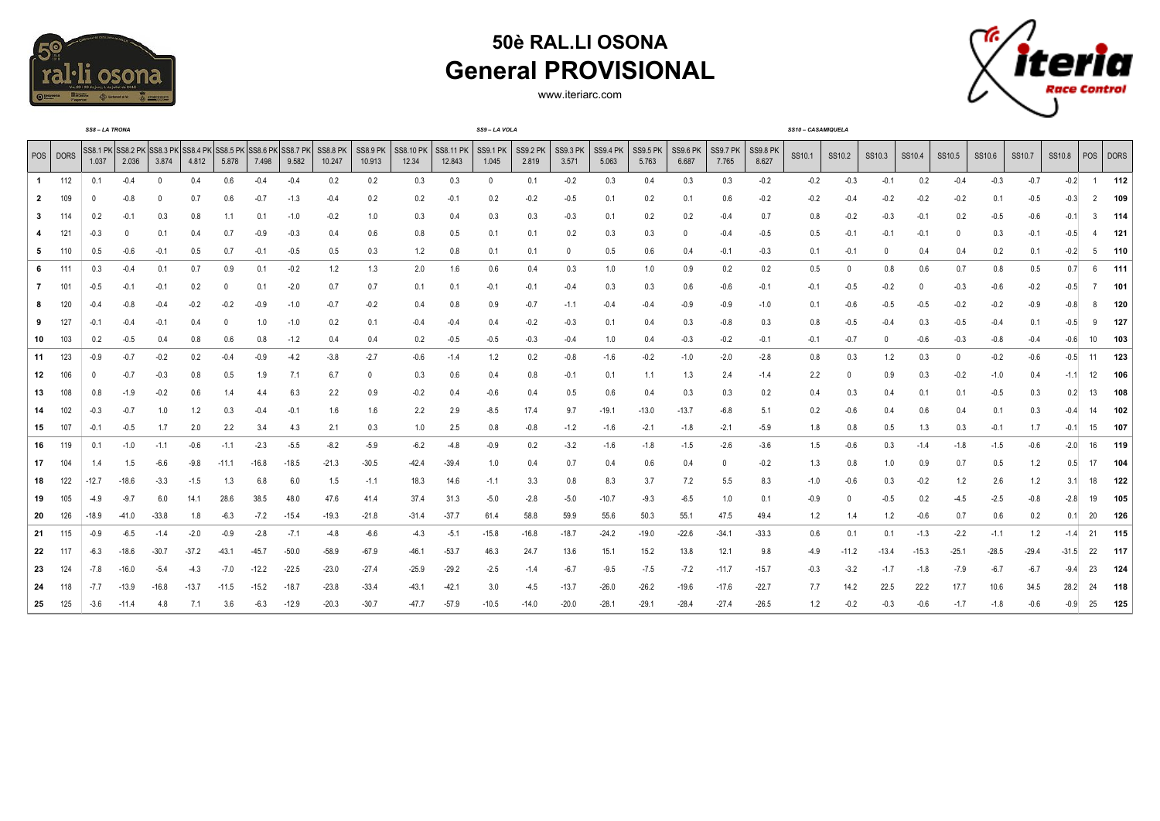

## **50è RAL.LI OSONA General PROVISIONAL**

www.iteriarc.com



| SS8-LA TRONA |          |        |                            |                   |                          |          |                                     |         |                           |                           |                           |                            | SS9-LA VOLA              |                          |                          |                          |                          |                   | SS10 - CASAMIQUELA       |                          |        |         |          |         |         |         |         |         |                |     |  |
|--------------|----------|--------|----------------------------|-------------------|--------------------------|----------|-------------------------------------|---------|---------------------------|---------------------------|---------------------------|----------------------------|--------------------------|--------------------------|--------------------------|--------------------------|--------------------------|-------------------|--------------------------|--------------------------|--------|---------|----------|---------|---------|---------|---------|---------|----------------|-----|--|
|              | POS DORS | 1.037  | SS8.1 PK SS8.2 PK<br>2.036 | SS8.3 PK<br>3.874 | <b>SS8.4 PK</b><br>4.812 | 5.878    | SS8.5 PK SS8.6 PK SS8.7 PK<br>7.498 | 9.582   | <b>SS8.8 PK</b><br>10.247 | <b>SS8.9 PK</b><br>10.913 | <b>SS8.10 PK</b><br>12.34 | <b>SS8.11 PK</b><br>12.843 | <b>SS9.1 PK</b><br>1.045 | <b>SS9.2 PK</b><br>2.819 | <b>SS9.3 PK</b><br>3.571 | <b>SS9.4 PK</b><br>5.063 | <b>SS9.5 PK</b><br>5.763 | SS9.6 PK<br>6.687 | <b>SS9.7 PK</b><br>7.765 | <b>SS9.8 PK</b><br>8.627 | SS10.1 | SS10.2  | SS10.3   | SS10.4  | SS10.5  | SS10.6  | SS10.7  | SS10.8  | POS DORS       |     |  |
| -1           | 112      | 0.1    | $-0.4$                     | $\Omega$          | 0.4                      | 0.6      | $-0.4$                              | $-0.4$  | 0.2                       | 0.2                       | 0.3                       | 0.3                        | $\mathbf{0}$             | 0.1                      | $-0.2$                   | 0.3                      | 0.4                      | 0.3               | 0.3                      | $-0.2$                   | $-0.2$ | $-0.3$  | $-0.1$   | 0.2     | $-0.4$  | $-0.3$  | $-0.7$  | $-0.2$  | $\overline{1}$ | 112 |  |
|              |          |        | $-0.8$                     |                   | 0.7                      | 0.6      | $-0.7$                              | $-1.3$  | $-0.4$                    | 0.2                       | 0.2                       | $-0.1$                     | 0.2                      | $-0.2$                   | $-0.5$                   | 0.1                      | 0.2                      | 0.1               | 0.6                      | $-0.2$                   | $-0.2$ | $-0.4$  | $-0.2$   | $-0.2$  | $-0.2$  | 0.1     | $-0.5$  | $-0.3$  | $\overline{2}$ | 109 |  |
|              |          | 0.2    | $-0.1$                     | 0.3               | 0.8                      | 1.1      | 0.1                                 | $-1.0$  | $-0.2$                    | 1.0                       | 0.3                       | 0.4                        | 0.3                      | 0.3                      | $-0.3$                   | 0.1                      | 0.2                      | 0.2               | $-0.4$                   | 0.7                      | 0.8    | $-0.2$  | $-0.3$   | $-0.1$  | 0.2     | $-0.5$  | $-0.6$  | $-0.1$  | 3              | 114 |  |
|              | 121      | $-0.3$ |                            | 0.1               | 0.4                      | 0.7      | $-0.9$                              | $-0.3$  | 0.4                       | 0.6                       | 0.8                       | 0.5                        | 0.1                      | 0.1                      | 0.2                      | 0.3                      | 0.3                      | 0                 | $-0.4$                   | $-0.5$                   | 0.5    | $-0.1$  | $-0.1$   | $-0.1$  |         | 0.3     | $-0.1$  | $-0.5$  | 4              | 121 |  |
| 5            | 110      | 0.5    | $-0.6$                     | $-0.1$            | 0.5                      | 0.7      | $-0.1$                              | $-0.5$  | 0.5                       | 0.3                       | 1.2                       | 0.8                        | 0.1                      | 0.1                      | 0                        | 0.5                      | 0.6                      | 0.4               | $-0.1$                   | $-0.3$                   | 0.1    | $-0.1$  | $\Omega$ | 0.4     | 0.4     | 0.2     | 0.1     | $-0.2$  | 5              | 110 |  |
| 6            | 111      | 0.3    | $-0.4$                     | 0.1               | 0.7                      | 0.9      | 0.1                                 | $-0.2$  | 1.2                       | 1.3                       | 2.0                       | 1.6                        | 0.6                      | 0.4                      | 0.3                      | 1.0                      | 1.0                      | 0.9               | 0.2                      | 0.2                      | 0.5    | 0       | 0.8      | 0.6     | 0.7     | 0.8     | 0.5     | 0.7     | 6              | 111 |  |
|              | 101      | $-0.5$ | $-0.1$                     | $-0.1$            | 0.2                      | $\Omega$ | 0.1                                 | $-2.0$  | 0.7                       | 0.7                       | 0.1                       | 0.1                        | $-0.1$                   | $-0.1$                   | $-0.4$                   | 0.3                      | 0.3                      | 0.6               | $-0.6$                   | $-0.1$                   | $-0.1$ | $-0.5$  | $-0.2$   | 0       | $-0.3$  | $-0.6$  | $-0.2$  | $-0.5$  | $\overline{7}$ | 101 |  |
|              | 120      | -0.4   |                            | $-0.4$            | $-0.2$                   | $-0.2$   | $-0.9$                              | $-1.0$  | $-0.7$                    | $-0.2$                    | 0.4                       | 0.8                        | 0.9                      | $-0.7$                   | $-1.1$                   | $-0.4$                   | $-0.4$                   | $-0.9$            | $-0.9$                   | $-1.0$                   | 0.1    | -0.6    | $-0.5$   | $-0.5$  | $-0.2$  | $-0.2$  | $-0.9$  | $-0.8$  | 8              | 120 |  |
|              | 127      | -0.1   |                            | -0.               | 0.4                      |          | 1.0                                 | $-1.0$  | 0.2                       | 0.1                       | -0.4                      | $-0.4$                     | 0.4                      | $-0.2$                   | $-0.3$                   | 0.1                      | 0.4                      | 0.3               | $-0.8$                   | 0.3                      | 0.8    | -0.5    | $-0.4$   | 0.3     | $-0.5$  | $-0.4$  | 0.1     | -0.5    | 9              | 127 |  |
| 10           | 103      | 0.2    | $-0.5$                     | 0.4               | 0.8                      | 0.6      | 0.8                                 | $-1.2$  | 0.4                       | 0.4                       | 0.2                       | $-0.5$                     | $-0.5$                   | $-0.3$                   | $-0.4$                   | 1.0                      | 0.4                      | $-0.3$            | $-0.2$                   | $-0.1$                   | $-0.1$ | $-0.7$  | $\Omega$ | $-0.6$  | $-0.3$  | $-0.8$  | $-0.4$  | $-0.6$  | 10             | 103 |  |
| 11           | 123      | $-0.9$ | $-0.7$                     | $-0.2$            | 0.2                      | $-0.4$   | $-0.9$                              | $-4.2$  | $-3.8$                    | $-2.7$                    | $-0.6$                    | $-1.4$                     | 1.2                      | 0.2                      | $-0.8$                   | $-1.6$                   | $-0.2$                   | $-1.0$            | $-2.0$                   | $-2.8$                   | 0.8    | 0.3     | 1.2      | 0.3     |         | $-0.2$  | $-0.6$  | $-0.5$  | 11             | 123 |  |
| 12           | 106      |        | $-0.7$                     | $-0.3$            | 0.8                      | 0.5      | 1.9                                 | 7.1     | 6.7                       | 0                         | 0.3                       | 0.6                        | 0.4                      | 0.8                      | $-0.1$                   | 0.1                      | 1.1                      | 1.3               | 2.4                      | $-1.4$                   | 2.2    | 0       | 0.9      | 0.3     | $-0.2$  | $-1.0$  | 0.4     | $-1.1$  | 12             | 106 |  |
| 13           | 108      | 0.8    | $-1.9$                     | $-0.2$            | 0.6                      | 1.4      | 4.4                                 | 6.3     | 2.2                       | 0.9                       | $-0.2$                    | 0.4                        | $-0.6$                   | 0.4                      | 0.5                      | 0.6                      | 0.4                      | 0.3               | 0.3                      | 0.2                      | 0.4    | 0.3     | 0.4      | 0.1     | 0.1     | $-0.5$  | 0.3     | 0.2     | 13             | 108 |  |
| 14           | 102      | -0.3   | $-0.7$                     | 1.0               | 1.2                      | 0.3      | $-0.4$                              | $-0.1$  | 1.6                       | 1.6                       | 2.2                       | 2.9                        | $-8.5$                   | 17.4                     | 9.7                      | $-19.1$                  | $-13.0$                  | $-13.7$           | $-6.8$                   | 5.1                      | 0.2    | -0.6    | 0.4      | 0.6     | 0.4     | 0.1     | 0.3     | $-0.4$  | 14             | 102 |  |
| 15           | 107      | $-0.1$ | $-0.5$                     | 1.7               | 2.0                      | 2.2      | 3.4                                 | 4.3     | 2.1                       | 0.3                       | 1.0                       | 2.5                        | 0.8                      | $-0.8$                   | $-1.2$                   | $-1.6$                   | $-2.1$                   | $-1.8$            | $-2.1$                   | $-5.9$                   | 1.8    | 0.8     | 0.5      | 1.3     | 0.3     | $-0.1$  | 1.7     | $-0.1$  | 15             | 107 |  |
| 16           | 119      | 0.1    | $-1.0$                     | $-1.1$            | $-0.6$                   | $-1.1$   | $-2.3$                              | $-5.5$  | $-8.2$                    | $-5.9$                    | $-6.2$                    | $-4.8$                     | $-0.9$                   | 0.2                      | $-3.2$                   | $-1.6$                   | $-1.8$                   | $-1.5$            | $-2.6$                   | $-3.6$                   | 1.5    | $-0.6$  | 0.3      | $-1.4$  | $-1.8$  | $-1.5$  | $-0.6$  | $-2.0$  | 16             | 119 |  |
| 17           | 104      |        | 1.5                        | $-6.6$            | $-9.8$                   | $-11.1$  | -16.8                               | $-18.5$ | $-21.3$                   | $-30.5$                   | -42.4                     | $-39.4$                    | 1.0                      | 0.4                      | 0.7                      | 0.4                      | 0.6                      | 0.4               |                          | $-0.2$                   | 1.3    | 0.8     | 1.0      | 0.9     | 0.7     | 0.5     | 1.2     | 0.5     | 17             | 104 |  |
| 18           | 122      | -12.7  | -18.6                      | $-3.3$            | $-1.5$                   | 1.3      | 6.8                                 | 6.0     | 1.5                       | $-1.1$                    | 18.3                      | 14.6                       | $-1.1$                   | 3.3                      | 0.8                      | 8.3                      | 3.7                      | 7.2               | 5.5                      | 8.3                      | $-1.0$ | $-0.6$  | 0.3      | $-0.2$  | 1.2     | 2.6     | 1.2     | 3.1     | 18             | 122 |  |
| 19           | 105      | $-4.9$ | -9.7                       | 6.0               | 14.1                     | 28.6     | 38.5                                | 48.0    | 47.6                      | 41.4                      | 37.4                      | 31.3                       | $-5.0$                   | $-2.8$                   | $-5.0$                   | $-10.7$                  | $-9.3$                   | $-6.5$            | 1.0                      | 0.1                      | -0.9   |         | $-0.5$   | 0.2     | $-4.5$  | $-2.5$  | $-0.8$  | $-2.8$  | 19             | 105 |  |
| 20           | 126      | -18.9  | -41.0                      | $-33.8$           | 1.8                      | $-6.3$   | $-7.2$                              | $-15.4$ | $-19.3$                   | $-21.8$                   | -31.4                     | $-37.7$                    | 61.4                     | 58.8                     | 59.9                     | 55.6                     | 50.3                     | 55.1              | 47.5                     | 49.4                     | 1.2    | 1.4     | 1.2      | $-0.6$  | 0.7     | 0.6     | 0.2     | 0.1     | 20             | 126 |  |
| 21           | 115      | $-0.9$ | $-6.5$                     | $-1.4$            | $-2.0$                   | $-0.9$   | $-2.8$                              | $-7.1$  | $-4.8$                    | $-6.6$                    | $-4.3$                    | $-5.1$                     | $-15.8$                  | $-16.8$                  | $-18.7$                  | $-24.2$                  | $-19.0$                  | $-22.6$           | $-34.1$                  | $-33.3$                  | 0.6    | 0.1     | 0.1      | $-1.3$  | $-2.2$  | $-1.1$  | 1.2     | $-1.4$  | 21             | 115 |  |
| 22           | 117      | $-6.3$ | -18.6                      | $-30.7$           | $-37.2$                  | $-43.1$  | $-45.7$                             | $-50.0$ | $-58.9$                   | $-67.9$                   | -46.1                     | $-53.7$                    | 46.3                     | 24.7                     | 13.6                     | 15.1                     | 15.2                     | 13.8              | 12.1                     | 9.8                      | $-4.9$ | $-11.2$ | $-13.4$  | $-15.3$ | $-25.1$ | $-28.5$ | $-29.4$ | $-31.5$ | 22             | 117 |  |
| 23           | 124      | $-7.8$ | -16.0                      | $-5.4$            | $-4.3$                   | $-7.0$   | -12.2                               | $-22.5$ | $-23.0$                   | $-27.4$                   | -25.9                     | $-29.2$                    | $-2.5$                   | $-1.4$                   | $-6.7$                   | $-9.5$                   | $-7.5$                   | $-7.2$            | $-11.7$                  | $-15.7$                  | $-0.3$ | $-3.2$  | $-1.7$   | $-1.8$  | $-7.9$  | $-6.7$  | $-6.7$  | $-9.4$  | 23             | 124 |  |
| 24           | 118      | $-7.7$ | $-13.9$                    | $-16.8$           | $-13.7$                  | $-11.5$  | $-15.2$                             | $-18.7$ | $-23.8$                   | $-33.4$                   | $-43.1$                   | $-42.1$                    | 3.0                      | $-4.5$                   | $-13.7$                  | $-26.0$                  | $-26.2$                  | $-19.6$           | $-17.6$                  | $-22.7$                  | 7.7    | 14.2    | 22.5     | 22.2    | 17.7    | 10.6    | 34.5    | 28.2    | 24             | 118 |  |
| 25           | 125      | $-3.6$ | $-11.4$                    | 4.8               |                          | 3.6      | $-6.3$                              | $-12.9$ | $-20.3$                   | $-30.7$                   | $-47.7$                   | $-57.9$                    | $-10.5$                  | $-14.0$                  | $-20.0$                  | $-28.7$                  | $-29.1$                  | $-28.4$           | $-27.4$                  | $-26.5$                  | 1.2    | -0.2    | -0.3     | $-0.6$  | $-1.7$  | $-1.8$  | $-0.6$  | $-0.9$  | 25             | 125 |  |